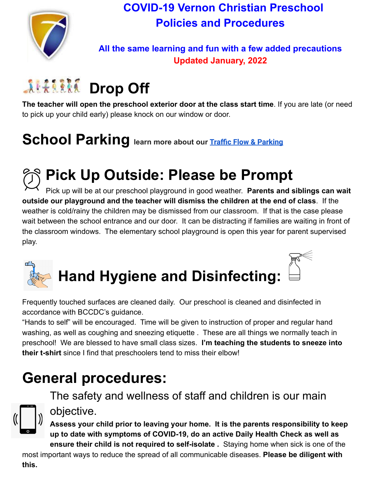

### **COVID-19 Vernon Christian Preschool Policies and Procedures**

### **All the same learning and fun with a few added precautions Updated January, 2022**

## **ALLIERE Drop Off**

**The teacher will open the preschool exterior door at the class start time**. If you are late (or need to pick up your child early) please knock on our window or door.

## **School Parking learn more about our [Traffic Flow &](https://mandrillapp.com/track/click/30495814/www.vcs.ca?p=eyJzIjoiT3Q0N2lySnpaNUhjMU5LNnp6c052UlM5SGp3IiwidiI6MSwicCI6IntcInVcIjozMDQ5NTgxNCxcInZcIjoxLFwidXJsXCI6XCJodHRwczpcXFwvXFxcL3d3dy52Y3MuY2FcXFwvcGFya2luZy1sb3QtZHJvcC1vZmYtYW5kLXBpY2stdXAtcmVtaW5kZXJzLXVwZGF0ZXNcXFwvXCIsXCJpZFwiOlwiYjgxZjkwY2EyZTYxNDY3NTg0YWE1MzQ4ZWJiOTgwOTFcIixcInVybF9pZHNcIjpbXCI5NGNkNjI5MmE5MjYyNTEzODZkODQyNDFkZTI0OTlmNTVmOThjZmM3XCJdfSJ9) Parking**

## **Pick Up Outside: Please be Prompt**

Pick up will be at our preschool playground in good weather. **Parents and siblings can wait outside our playground and the teacher will dismiss the children at the end of class**. If the weather is cold/rainy the children may be dismissed from our classroom. If that is the case please wait between the school entrance and our door. It can be distracting if families are waiting in front of the classroom windows. The elementary school playground is open this year for parent supervised play.



# **Hand Hygiene and Disinfecting:**



Frequently touched surfaces are cleaned daily. Our preschool is cleaned and disinfected in accordance with BCCDC's guidance.

"Hands to self" will be encouraged. Time will be given to instruction of proper and regular hand washing, as well as coughing and sneezing etiquette . These are all things we normally teach in preschool! We are blessed to have small class sizes. **I'm teaching the students to sneeze into their t-shirt** since I find that preschoolers tend to miss their elbow!

### **General procedures:**

The safety and wellness of staff and children is our main objective.



**Assess your child prior to leaving your home. It is the parents responsibility to keep up to date with symptoms of COVID-19, do an active Daily Health Check as well as ensure their child is not required to self-isolate .** Staying home when sick is one of the

most important ways to reduce the spread of all communicable diseases. **Please be diligent with this.**